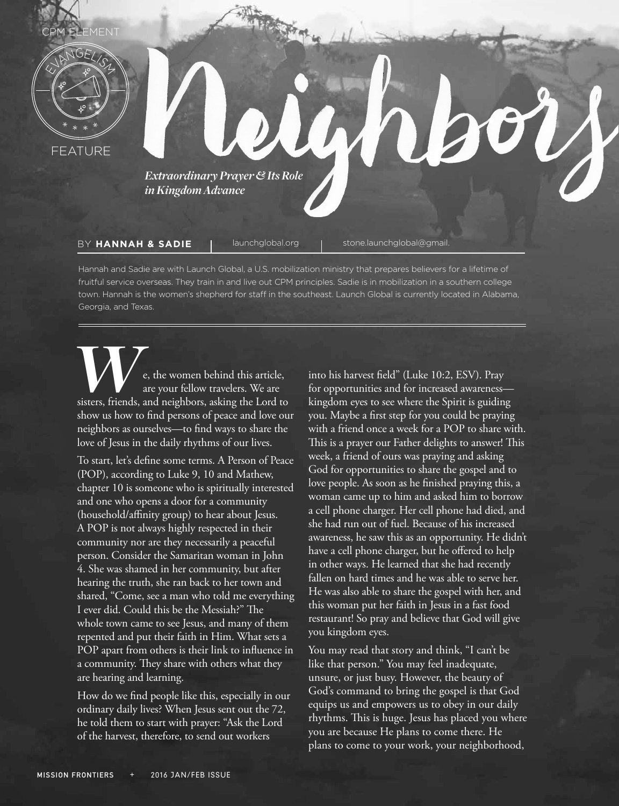

fruitful service overseas. They train in and live out CPM principles. Sadie is in mobilization in a southern college town. Hannah is the women's shepherd for staff in the southeast. Launch Global is currently located in Alabama, Georgia, and Texas.

**We, the women behind this article,** are your fellow travelers. We are sisters, friends, and neighbors, asking the Lord to are your fellow travelers. We are show us how to find persons of peace and love our neighbors as ourselves—to find ways to share the love of Jesus in the daily rhythms of our lives.

To start, let's define some terms. A Person of Peace (POP), according to Luke 9, 10 and Mathew, chapter 10 is someone who is spiritually interested and one who opens a door for a community (household/affinity group) to hear about Jesus. A POP is not always highly respected in their community nor are they necessarily a peaceful person. Consider the Samaritan woman in John 4. She was shamed in her community, but after hearing the truth, she ran back to her town and shared, "Come, see a man who told me everything I ever did. Could this be the Messiah?" The whole town came to see Jesus, and many of them repented and put their faith in Him. What sets a POP apart from others is their link to influence in a community. They share with others what they are hearing and learning.

How do we find people like this, especially in our ordinary daily lives? When Jesus sent out the 72, he told them to start with prayer: "Ask the Lord of the harvest, therefore, to send out workers

into his harvest field" (Luke 10:2, ESV). Pray for opportunities and for increased awareness kingdom eyes to see where the Spirit is guiding you. Maybe a first step for you could be praying with a friend once a week for a POP to share with. This is a prayer our Father delights to answer! This week, a friend of ours was praying and asking God for opportunities to share the gospel and to love people. As soon as he finished praying this, a woman came up to him and asked him to borrow a cell phone charger. Her cell phone had died, and she had run out of fuel. Because of his increased awareness, he saw this as an opportunity. He didn't have a cell phone charger, but he offered to help in other ways. He learned that she had recently fallen on hard times and he was able to serve her. He was also able to share the gospel with her, and this woman put her faith in Jesus in a fast food restaurant! So pray and believe that God will give you kingdom eyes.

You may read that story and think, "I can't be like that person." You may feel inadequate, unsure, or just busy. However, the beauty of God's command to bring the gospel is that God equips us and empowers us to obey in our daily rhythms. This is huge. Jesus has placed you where you are because He plans to come there. He plans to come to your work, your neighborhood,